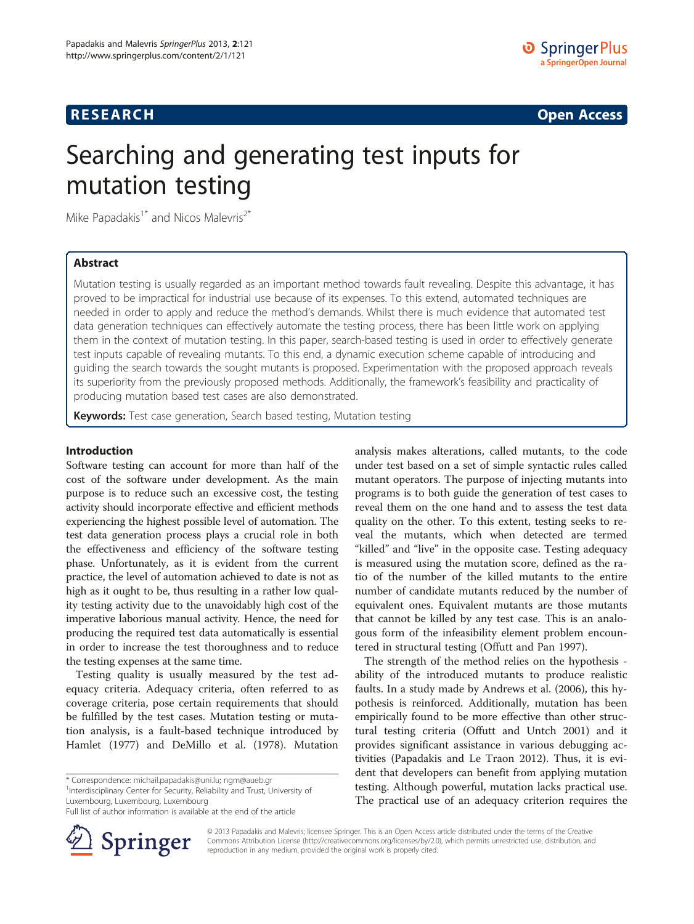# **RESEARCH RESEARCH CONSUMING ACCESS**

# Searching and generating test inputs for mutation testing

Mike Papadakis<sup>1\*</sup> and Nicos Malevris<sup>2\*</sup>

# Abstract

Mutation testing is usually regarded as an important method towards fault revealing. Despite this advantage, it has proved to be impractical for industrial use because of its expenses. To this extend, automated techniques are needed in order to apply and reduce the method's demands. Whilst there is much evidence that automated test data generation techniques can effectively automate the testing process, there has been little work on applying them in the context of mutation testing. In this paper, search-based testing is used in order to effectively generate test inputs capable of revealing mutants. To this end, a dynamic execution scheme capable of introducing and guiding the search towards the sought mutants is proposed. Experimentation with the proposed approach reveals its superiority from the previously proposed methods. Additionally, the framework's feasibility and practicality of producing mutation based test cases are also demonstrated.

Keywords: Test case generation, Search based testing, Mutation testing

## Introduction

Software testing can account for more than half of the cost of the software under development. As the main purpose is to reduce such an excessive cost, the testing activity should incorporate effective and efficient methods experiencing the highest possible level of automation. The test data generation process plays a crucial role in both the effectiveness and efficiency of the software testing phase. Unfortunately, as it is evident from the current practice, the level of automation achieved to date is not as high as it ought to be, thus resulting in a rather low quality testing activity due to the unavoidably high cost of the imperative laborious manual activity. Hence, the need for producing the required test data automatically is essential in order to increase the test thoroughness and to reduce the testing expenses at the same time.

Testing quality is usually measured by the test adequacy criteria. Adequacy criteria, often referred to as coverage criteria, pose certain requirements that should be fulfilled by the test cases. Mutation testing or mutation analysis, is a fault-based technique introduced by Hamlet ([1977](#page-10-0)) and DeMillo et al. ([1978](#page-10-0)). Mutation

\* Correspondence: [michail.papadakis@uni.lu;](mailto:michail.papadakis@uni.lu) [ngm@aueb.gr](mailto:ngm@aueb.gr) <sup>1</sup>

<sup>1</sup>Interdisciplinary Center for Security, Reliability and Trust, University of

Luxembourg, Luxembourg, Luxembourg Full list of author information is available at the end of the article analysis makes alterations, called mutants, to the code under test based on a set of simple syntactic rules called mutant operators. The purpose of injecting mutants into programs is to both guide the generation of test cases to reveal them on the one hand and to assess the test data quality on the other. To this extent, testing seeks to reveal the mutants, which when detected are termed "killed" and "live" in the opposite case. Testing adequacy is measured using the mutation score, defined as the ratio of the number of the killed mutants to the entire number of candidate mutants reduced by the number of equivalent ones. Equivalent mutants are those mutants that cannot be killed by any test case. This is an analogous form of the infeasibility element problem encountered in structural testing (Offutt and Pan [1997](#page-11-0)).

The strength of the method relies on the hypothesis ability of the introduced mutants to produce realistic faults. In a study made by Andrews et al. [\(2006\)](#page-10-0), this hypothesis is reinforced. Additionally, mutation has been empirically found to be more effective than other structural testing criteria (Offutt and Untch [2001](#page-11-0)) and it provides significant assistance in various debugging activities (Papadakis and Le Traon [2012\)](#page-11-0). Thus, it is evident that developers can benefit from applying mutation testing. Although powerful, mutation lacks practical use. The practical use of an adequacy criterion requires the

© 2013 Papadakis and Malevris; licensee Springer. This is an Open Access article distributed under the terms of the Creative Commons Attribution License (<http://creativecommons.org/licenses/by/2.0>), which permits unrestricted use, distribution, and reproduction in any medium, provided the original work is properly cited.

Springer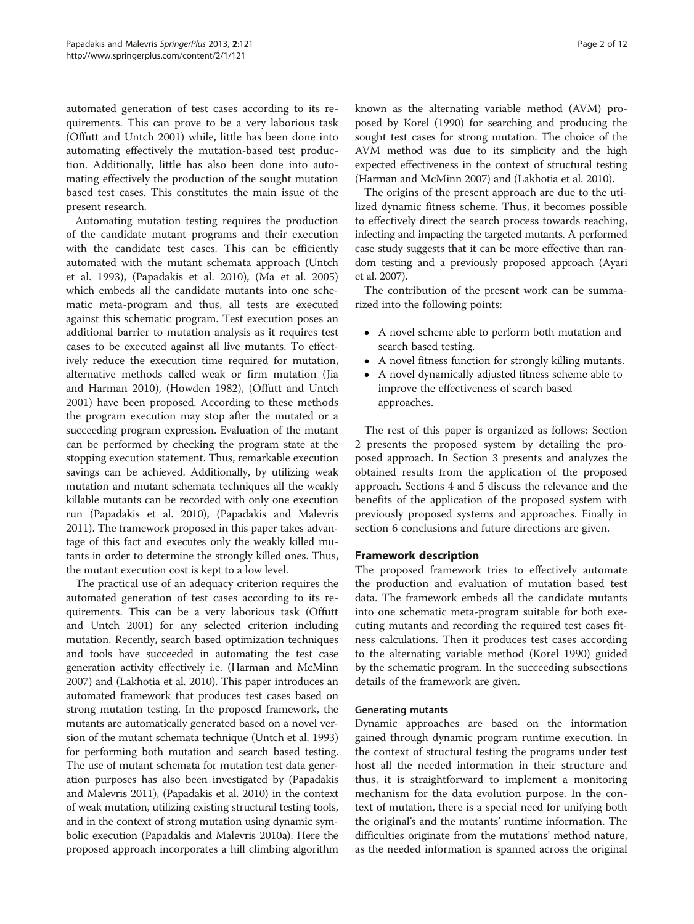automated generation of test cases according to its requirements. This can prove to be a very laborious task (Offutt and Untch [2001](#page-11-0)) while, little has been done into automating effectively the mutation-based test production. Additionally, little has also been done into automating effectively the production of the sought mutation based test cases. This constitutes the main issue of the present research.

Automating mutation testing requires the production of the candidate mutant programs and their execution with the candidate test cases. This can be efficiently automated with the mutant schemata approach (Untch et al. [1993](#page-11-0)), (Papadakis et al. [2010\)](#page-11-0), (Ma et al. [2005](#page-10-0)) which embeds all the candidate mutants into one schematic meta-program and thus, all tests are executed against this schematic program. Test execution poses an additional barrier to mutation analysis as it requires test cases to be executed against all live mutants. To effectively reduce the execution time required for mutation, alternative methods called weak or firm mutation (Jia and Harman [2010](#page-10-0)), (Howden [1982](#page-10-0)), (Offutt and Untch [2001](#page-11-0)) have been proposed. According to these methods the program execution may stop after the mutated or a succeeding program expression. Evaluation of the mutant can be performed by checking the program state at the stopping execution statement. Thus, remarkable execution savings can be achieved. Additionally, by utilizing weak mutation and mutant schemata techniques all the weakly killable mutants can be recorded with only one execution run (Papadakis et al. [2010](#page-11-0)), (Papadakis and Malevris [2011\)](#page-11-0). The framework proposed in this paper takes advantage of this fact and executes only the weakly killed mutants in order to determine the strongly killed ones. Thus, the mutant execution cost is kept to a low level.

The practical use of an adequacy criterion requires the automated generation of test cases according to its requirements. This can be a very laborious task (Offutt and Untch [2001](#page-11-0)) for any selected criterion including mutation. Recently, search based optimization techniques and tools have succeeded in automating the test case generation activity effectively i.e. (Harman and McMinn [2007\)](#page-10-0) and (Lakhotia et al. [2010\)](#page-10-0). This paper introduces an automated framework that produces test cases based on strong mutation testing. In the proposed framework, the mutants are automatically generated based on a novel version of the mutant schemata technique (Untch et al. [1993](#page-11-0)) for performing both mutation and search based testing. The use of mutant schemata for mutation test data generation purposes has also been investigated by (Papadakis and Malevris [2011](#page-11-0)), (Papadakis et al. [2010](#page-11-0)) in the context of weak mutation, utilizing existing structural testing tools, and in the context of strong mutation using dynamic symbolic execution (Papadakis and Malevris [2010a](#page-11-0)). Here the proposed approach incorporates a hill climbing algorithm

known as the alternating variable method (AVM) proposed by Korel [\(1990](#page-10-0)) for searching and producing the sought test cases for strong mutation. The choice of the AVM method was due to its simplicity and the high expected effectiveness in the context of structural testing (Harman and McMinn [2007](#page-10-0)) and (Lakhotia et al. [2010](#page-10-0)).

The origins of the present approach are due to the utilized dynamic fitness scheme. Thus, it becomes possible to effectively direct the search process towards reaching, infecting and impacting the targeted mutants. A performed case study suggests that it can be more effective than random testing and a previously proposed approach (Ayari et al. [2007\)](#page-10-0).

The contribution of the present work can be summarized into the following points:

- A novel scheme able to perform both mutation and search based testing.
- A novel fitness function for strongly killing mutants.
- A novel dynamically adjusted fitness scheme able to improve the effectiveness of search based approaches.

The rest of this paper is organized as follows: Section 2 presents the proposed system by detailing the proposed approach. In Section 3 presents and analyzes the obtained results from the application of the proposed approach. Sections 4 and 5 discuss the relevance and the benefits of the application of the proposed system with previously proposed systems and approaches. Finally in section 6 conclusions and future directions are given.

## Framework description

The proposed framework tries to effectively automate the production and evaluation of mutation based test data. The framework embeds all the candidate mutants into one schematic meta-program suitable for both executing mutants and recording the required test cases fitness calculations. Then it produces test cases according to the alternating variable method (Korel [1990\)](#page-10-0) guided by the schematic program. In the succeeding subsections details of the framework are given.

#### Generating mutants

Dynamic approaches are based on the information gained through dynamic program runtime execution. In the context of structural testing the programs under test host all the needed information in their structure and thus, it is straightforward to implement a monitoring mechanism for the data evolution purpose. In the context of mutation, there is a special need for unifying both the original's and the mutants' runtime information. The difficulties originate from the mutations' method nature, as the needed information is spanned across the original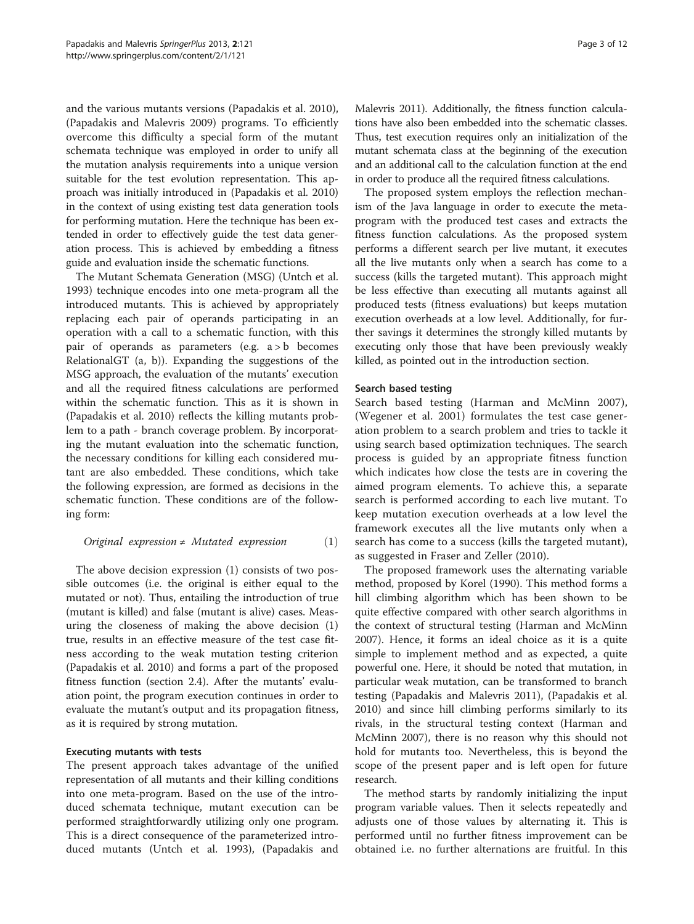and the various mutants versions (Papadakis et al. [2010](#page-11-0)), (Papadakis and Malevris [2009\)](#page-11-0) programs. To efficiently overcome this difficulty a special form of the mutant schemata technique was employed in order to unify all the mutation analysis requirements into a unique version suitable for the test evolution representation. This approach was initially introduced in (Papadakis et al. [2010](#page-11-0)) in the context of using existing test data generation tools for performing mutation. Here the technique has been extended in order to effectively guide the test data generation process. This is achieved by embedding a fitness guide and evaluation inside the schematic functions.

The Mutant Schemata Generation (MSG) (Untch et al. [1993](#page-11-0)) technique encodes into one meta-program all the introduced mutants. This is achieved by appropriately replacing each pair of operands participating in an operation with a call to a schematic function, with this pair of operands as parameters (e.g. a > b becomes RelationalGT (a, b)). Expanding the suggestions of the MSG approach, the evaluation of the mutants' execution and all the required fitness calculations are performed within the schematic function. This as it is shown in (Papadakis et al. [2010\)](#page-11-0) reflects the killing mutants problem to a path - branch coverage problem. By incorporating the mutant evaluation into the schematic function, the necessary conditions for killing each considered mutant are also embedded. These conditions, which take the following expression, are formed as decisions in the schematic function. These conditions are of the following form:

## Original expression  $\neq$  Mutated expression (1)

The above decision expression (1) consists of two possible outcomes (i.e. the original is either equal to the mutated or not). Thus, entailing the introduction of true (mutant is killed) and false (mutant is alive) cases. Measuring the closeness of making the above decision (1) true, results in an effective measure of the test case fitness according to the weak mutation testing criterion (Papadakis et al. [2010](#page-11-0)) and forms a part of the proposed fitness function (section 2.4). After the mutants' evaluation point, the program execution continues in order to evaluate the mutant's output and its propagation fitness, as it is required by strong mutation.

## Executing mutants with tests

The present approach takes advantage of the unified representation of all mutants and their killing conditions into one meta-program. Based on the use of the introduced schemata technique, mutant execution can be performed straightforwardly utilizing only one program. This is a direct consequence of the parameterized introduced mutants (Untch et al. [1993](#page-11-0)), (Papadakis and Malevris [2011\)](#page-11-0). Additionally, the fitness function calculations have also been embedded into the schematic classes. Thus, test execution requires only an initialization of the mutant schemata class at the beginning of the execution and an additional call to the calculation function at the end in order to produce all the required fitness calculations.

The proposed system employs the reflection mechanism of the Java language in order to execute the metaprogram with the produced test cases and extracts the fitness function calculations. As the proposed system performs a different search per live mutant, it executes all the live mutants only when a search has come to a success (kills the targeted mutant). This approach might be less effective than executing all mutants against all produced tests (fitness evaluations) but keeps mutation execution overheads at a low level. Additionally, for further savings it determines the strongly killed mutants by executing only those that have been previously weakly killed, as pointed out in the introduction section.

#### Search based testing

Search based testing (Harman and McMinn [2007](#page-10-0)), (Wegener et al. [2001](#page-11-0)) formulates the test case generation problem to a search problem and tries to tackle it using search based optimization techniques. The search process is guided by an appropriate fitness function which indicates how close the tests are in covering the aimed program elements. To achieve this, a separate search is performed according to each live mutant. To keep mutation execution overheads at a low level the framework executes all the live mutants only when a search has come to a success (kills the targeted mutant), as suggested in Fraser and Zeller ([2010](#page-10-0)).

The proposed framework uses the alternating variable method, proposed by Korel ([1990](#page-10-0)). This method forms a hill climbing algorithm which has been shown to be quite effective compared with other search algorithms in the context of structural testing (Harman and McMinn [2007](#page-10-0)). Hence, it forms an ideal choice as it is a quite simple to implement method and as expected, a quite powerful one. Here, it should be noted that mutation, in particular weak mutation, can be transformed to branch testing (Papadakis and Malevris [2011](#page-11-0)), (Papadakis et al. [2010](#page-11-0)) and since hill climbing performs similarly to its rivals, in the structural testing context (Harman and McMinn [2007](#page-10-0)), there is no reason why this should not hold for mutants too. Nevertheless, this is beyond the scope of the present paper and is left open for future research.

The method starts by randomly initializing the input program variable values. Then it selects repeatedly and adjusts one of those values by alternating it. This is performed until no further fitness improvement can be obtained i.e. no further alternations are fruitful. In this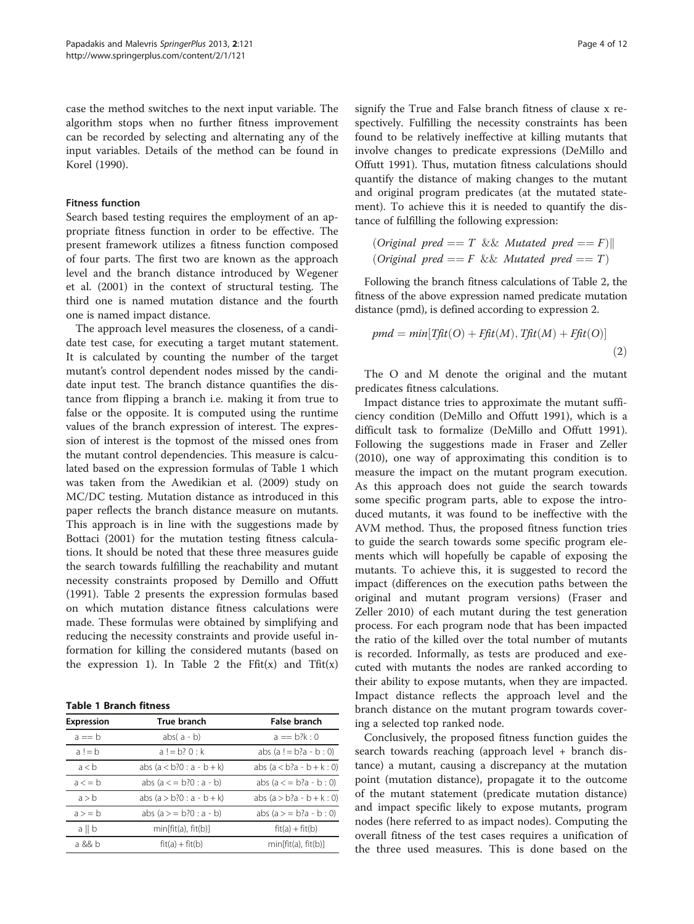case the method switches to the next input variable. The algorithm stops when no further fitness improvement can be recorded by selecting and alternating any of the input variables. Details of the method can be found in Korel [\(1990\)](#page-10-0).

#### Fitness function

Search based testing requires the employment of an appropriate fitness function in order to be effective. The present framework utilizes a fitness function composed of four parts. The first two are known as the approach level and the branch distance introduced by Wegener et al. ([2001\)](#page-11-0) in the context of structural testing. The third one is named mutation distance and the fourth one is named impact distance.

The approach level measures the closeness, of a candidate test case, for executing a target mutant statement. It is calculated by counting the number of the target mutant's control dependent nodes missed by the candidate input test. The branch distance quantifies the distance from flipping a branch i.e. making it from true to false or the opposite. It is computed using the runtime values of the branch expression of interest. The expression of interest is the topmost of the missed ones from the mutant control dependencies. This measure is calculated based on the expression formulas of Table 1 which was taken from the Awedikian et al. [\(2009\)](#page-10-0) study on MC/DC testing. Mutation distance as introduced in this paper reflects the branch distance measure on mutants. This approach is in line with the suggestions made by Bottaci [\(2001\)](#page-10-0) for the mutation testing fitness calculations. It should be noted that these three measures guide the search towards fulfilling the reachability and mutant necessity constraints proposed by Demillo and Offutt ([1991](#page-10-0)). Table [2](#page-4-0) presents the expression formulas based on which mutation distance fitness calculations were made. These formulas were obtained by simplifying and reducing the necessity constraints and provide useful information for killing the considered mutants (based on the expression 1). In Table [2](#page-4-0) the Ffit(x) and  $Tfit(x)$ 

Table 1 Branch fitness

| <b>Expression</b> | True branch                     | False branch                 |  |  |
|-------------------|---------------------------------|------------------------------|--|--|
| $a == b$          | $abs(a - b)$                    | $a == b?k : 0$               |  |  |
| $a! = b$          | $a = h$ ? $0 \cdot k$           | abs $(a != b?a - b : 0)$     |  |  |
| a < b             | abs $(a < b$ ?0 : $a - b + k$ ) | abs $(a < b$ ?a - b + k : 0) |  |  |
| $a \leq b$        | abs $(a < = b$ ?0 : a - b)      | abs $(a < = b$ ?a - b : 0)   |  |  |
| a > h             | abs $(a > b$ ?0 : $a - b + k$   | abs $(a > b$ ?a - b + k : 0) |  |  |
| a > b             | abs $(a > = b$ ?0 : a - b)      | abs $(a > = b$ ?a - b : 0)   |  |  |
| $a \parallel b$   | min[fit(a), fit(b)]             | $fit(a) + fit(b)$            |  |  |
| a && h            | $fit(a) + fit(b)$               | min[fit(a), fit(b)]          |  |  |

signify the True and False branch fitness of clause x respectively. Fulfilling the necessity constraints has been found to be relatively ineffective at killing mutants that involve changes to predicate expressions (DeMillo and Offutt [1991](#page-10-0)). Thus, mutation fitness calculations should quantify the distance of making changes to the mutant and original program predicates (at the mutated statement). To achieve this it is needed to quantify the distance of fulfilling the following expression:

ð Þk Original pred ¼¼ T && Mutated pred ¼¼ F ð Þ Original pred ¼¼ F && Mutated pred ¼¼ T

Following the branch fitness calculations of Table [2,](#page-4-0) the fitness of the above expression named predicate mutation distance (pmd), is defined according to expression 2.

$$
pmd = min[ T\hat{f}it(O) + F\hat{f}it(M), T\hat{f}it(M) + F\hat{f}it(O)] \tag{2}
$$

The O and M denote the original and the mutant predicates fitness calculations.

Impact distance tries to approximate the mutant sufficiency condition (DeMillo and Offutt [1991\)](#page-10-0), which is a difficult task to formalize (DeMillo and Offutt [1991](#page-10-0)). Following the suggestions made in Fraser and Zeller ([2010\)](#page-10-0), one way of approximating this condition is to measure the impact on the mutant program execution. As this approach does not guide the search towards some specific program parts, able to expose the introduced mutants, it was found to be ineffective with the AVM method. Thus, the proposed fitness function tries to guide the search towards some specific program elements which will hopefully be capable of exposing the mutants. To achieve this, it is suggested to record the impact (differences on the execution paths between the original and mutant program versions) (Fraser and Zeller [2010](#page-10-0)) of each mutant during the test generation process. For each program node that has been impacted the ratio of the killed over the total number of mutants is recorded. Informally, as tests are produced and executed with mutants the nodes are ranked according to their ability to expose mutants, when they are impacted. Impact distance reflects the approach level and the branch distance on the mutant program towards covering a selected top ranked node.

Conclusively, the proposed fitness function guides the search towards reaching (approach level + branch distance) a mutant, causing a discrepancy at the mutation point (mutation distance), propagate it to the outcome of the mutant statement (predicate mutation distance) and impact specific likely to expose mutants, program nodes (here referred to as impact nodes). Computing the overall fitness of the test cases requires a unification of the three used measures. This is done based on the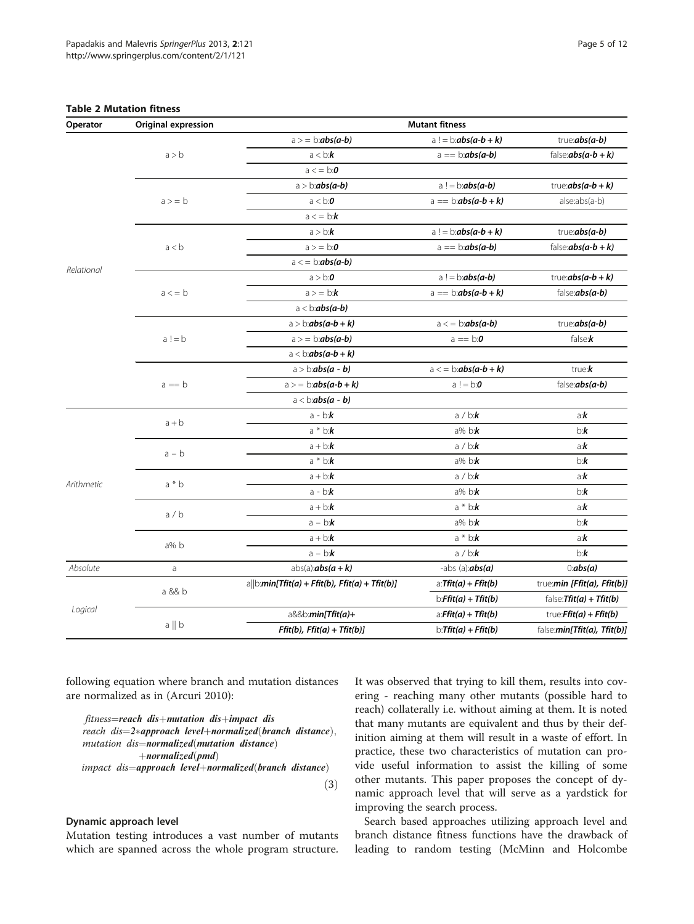#### <span id="page-4-0"></span>Table 2 Mutation fitness

| Operator                                        | Original expression | <b>Mutant fitness</b>                                   |                               |                              |  |  |
|-------------------------------------------------|---------------------|---------------------------------------------------------|-------------------------------|------------------------------|--|--|
|                                                 |                     | $a$ > = b: $abs(a-b)$                                   | $a != b:abs(a-b+k)$           | true:abs(a-b)                |  |  |
|                                                 | a > b               | a < b: k                                                | $a == b:abs(a-b)$             | false: $abs(a-b+k)$          |  |  |
|                                                 |                     | $a < = b$ :0                                            |                               |                              |  |  |
|                                                 |                     | $a > b$ :abs(a-b)                                       | a ! = b: $\mathbf{a}$ bs(a-b) | true: $abs(a-b+k)$           |  |  |
|                                                 | a > b               | $a < b$ :0                                              | $a == b:abs(a-b+k)$           | alse:abs(a-b)                |  |  |
|                                                 |                     | $a \leq b$ : $k$                                        |                               |                              |  |  |
|                                                 |                     | a > b: k                                                | a ! = b: <b>abs(a-b + k)</b>  | true: <b>abs(a-b)</b>        |  |  |
|                                                 | a < b               | $a > = b$ :0                                            | $a == b:abs(a-b)$             | false: $\mathit{abs}(a-b+k)$ |  |  |
|                                                 |                     | $a \leq b : abs(a-b)$                                   |                               |                              |  |  |
|                                                 |                     | a > b: 0                                                | $a != b:abs(a-b)$             | true: $abs(a-b+k)$           |  |  |
|                                                 | $a \leq b$          | $a > = b: k$                                            | $a == b:abs(a-b+k)$           | false:abs(a-b)               |  |  |
|                                                 |                     | $a < b$ : $abs(a-b)$                                    |                               |                              |  |  |
|                                                 |                     | $a > b$ : $\boldsymbol{a}$ bs( $\boldsymbol{a}$ -b + k) | $a \leq b$ :abs(a-b)          | true:abs(a-b)                |  |  |
|                                                 | $a != b$            | $a$ > = b: $\boldsymbol{a}$ bs( $\boldsymbol{a}$ -b)    | $a == b: 0$                   | false: <b>k</b>              |  |  |
|                                                 |                     | $a < b$ : $abs(a-b+k)$                                  |                               |                              |  |  |
|                                                 |                     | $a > b$ : $abs(a - b)$                                  | $a \leq b : abs(a-b+k)$       | true:k                       |  |  |
|                                                 | $a == b$            | $a>$ = b:abs(a-b + k)                                   | $a != b: 0$                   | false:abs(a-b)               |  |  |
|                                                 |                     | $a < b$ :abs(a - b)                                     |                               |                              |  |  |
| Relational<br>Arithmetic<br>Absolute<br>Logical |                     | a - b: $\boldsymbol{k}$                                 | a / b: $\boldsymbol{k}$       | $a$ : $k$                    |  |  |
|                                                 | $a + b$             | $a * b: k$                                              | a% b: $\boldsymbol{k}$        | $b:\mathbf{k}$               |  |  |
|                                                 |                     | $a + b: k$                                              | $a/b$ : $k$                   | a:k                          |  |  |
|                                                 | $a - b$             | a $*$ b: $\boldsymbol{k}$                               | a% b: $\boldsymbol{k}$        | $b:$ <b>k</b>                |  |  |
|                                                 |                     | $a + b: k$                                              | $a/b$ : $k$                   | $a:\mathbf{k}$               |  |  |
|                                                 | $a * b$             | a - b: $\boldsymbol{k}$                                 | a% b: $\boldsymbol{k}$        | b: k                         |  |  |
|                                                 |                     | $a + b: k$                                              | a * b: $\boldsymbol{k}$       | a:k                          |  |  |
|                                                 | a/b                 | $a - b$ : $k$                                           | a% b: $\boldsymbol{k}$        | $b:\mathbf{k}$               |  |  |
|                                                 |                     | $a + b: k$                                              | $a * b: k$                    | $a$ : $k$                    |  |  |
|                                                 | $a\% b$             | $a - b$ : $k$                                           | $a/b$ : $k$                   | b: k                         |  |  |
|                                                 | a                   | abs(a): $abs(a + k)$                                    | -abs (a): $abs(a)$            | 0:abs(a)                     |  |  |
|                                                 |                     | a  b:min[Tfit(a) + Ffit(b), Ffit(a) + Tfit(b)]          | $a$ :Tfit(a) + Ffit(b)        | true:min [Ffit(a), Ffit(b)]  |  |  |
|                                                 | a && b              |                                                         | $b$ :Ffit(a) + Tfit(b)        | false: $Tfit(a) + Tfit(b)$   |  |  |
|                                                 |                     | a&&b:min[Tfit(a)+                                       | a: $Ffit(a) + Tfit(b)$        | true: $Ffit(a) + Ffit(b)$    |  |  |
|                                                 | $a \parallel b$     | $Ffit(b)$ , $Ffit(a) + Tfit(b)$ ]                       | $b$ :Tfit(a) + Ffit(b)        | false:min[Tfit(a), Tfit(b)]  |  |  |

following equation where branch and mutation distances are normalized as in (Arcuri [2010](#page-10-0)):

 $fitness = reach$  dis + mutation dis + impact dis reach dis= $2*approx$  hevel+normalized (branch distance),  $mutation$  dis=normalized (mutation distance)  $+normalized (pmd)$  $impat$  dis=approach level+normalized (branch distance)  $(3)$ 

#### Dynamic approach level

Mutation testing introduces a vast number of mutants which are spanned across the whole program structure. It was observed that trying to kill them, results into covering - reaching many other mutants (possible hard to reach) collaterally i.e. without aiming at them. It is noted that many mutants are equivalent and thus by their definition aiming at them will result in a waste of effort. In practice, these two characteristics of mutation can provide useful information to assist the killing of some other mutants. This paper proposes the concept of dynamic approach level that will serve as a yardstick for improving the search process.

Search based approaches utilizing approach level and branch distance fitness functions have the drawback of leading to random testing (McMinn and Holcombe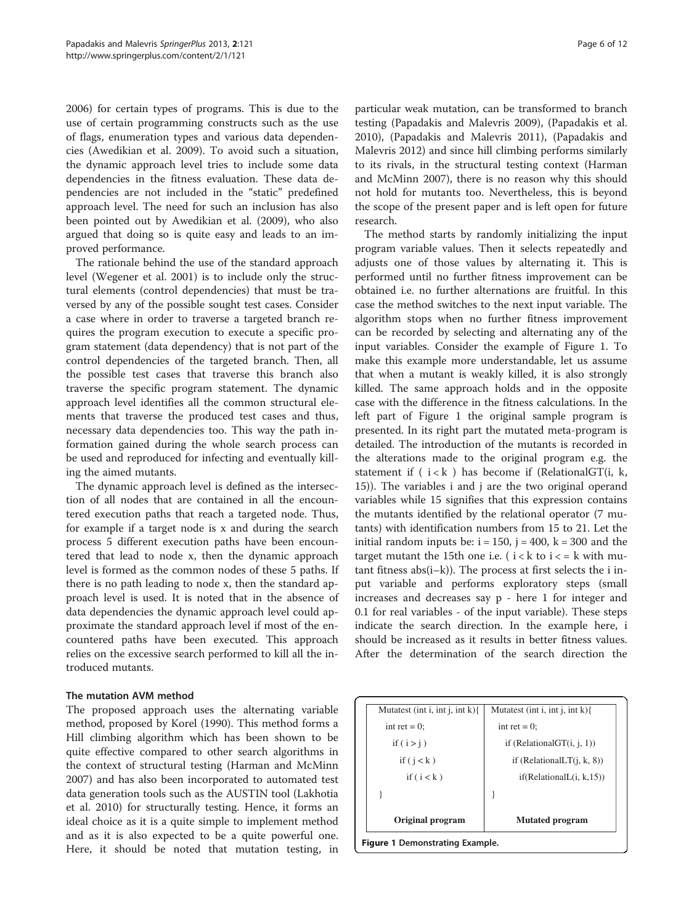[2006](#page-10-0)) for certain types of programs. This is due to the use of certain programming constructs such as the use of flags, enumeration types and various data dependencies (Awedikian et al. [2009\)](#page-10-0). To avoid such a situation, the dynamic approach level tries to include some data dependencies in the fitness evaluation. These data dependencies are not included in the "static" predefined approach level. The need for such an inclusion has also been pointed out by Awedikian et al. ([2009](#page-10-0)), who also argued that doing so is quite easy and leads to an improved performance.

The rationale behind the use of the standard approach level (Wegener et al. [2001](#page-11-0)) is to include only the structural elements (control dependencies) that must be traversed by any of the possible sought test cases. Consider a case where in order to traverse a targeted branch requires the program execution to execute a specific program statement (data dependency) that is not part of the control dependencies of the targeted branch. Then, all the possible test cases that traverse this branch also traverse the specific program statement. The dynamic approach level identifies all the common structural elements that traverse the produced test cases and thus, necessary data dependencies too. This way the path information gained during the whole search process can be used and reproduced for infecting and eventually killing the aimed mutants.

The dynamic approach level is defined as the intersection of all nodes that are contained in all the encountered execution paths that reach a targeted node. Thus, for example if a target node is x and during the search process 5 different execution paths have been encountered that lead to node x, then the dynamic approach level is formed as the common nodes of these 5 paths. If there is no path leading to node x, then the standard approach level is used. It is noted that in the absence of data dependencies the dynamic approach level could approximate the standard approach level if most of the encountered paths have been executed. This approach relies on the excessive search performed to kill all the introduced mutants.

## The mutation AVM method

The proposed approach uses the alternating variable method, proposed by Korel ([1990](#page-10-0)). This method forms a Hill climbing algorithm which has been shown to be quite effective compared to other search algorithms in the context of structural testing (Harman and McMinn [2007](#page-10-0)) and has also been incorporated to automated test data generation tools such as the AUSTIN tool (Lakhotia et al. [2010\)](#page-10-0) for structurally testing. Hence, it forms an ideal choice as it is a quite simple to implement method and as it is also expected to be a quite powerful one. Here, it should be noted that mutation testing, in

particular weak mutation, can be transformed to branch testing (Papadakis and Malevris [2009](#page-11-0)), (Papadakis et al. [2010](#page-11-0)), (Papadakis and Malevris [2011](#page-11-0)), (Papadakis and Malevris [2012](#page-11-0)) and since hill climbing performs similarly to its rivals, in the structural testing context (Harman and McMinn [2007](#page-10-0)), there is no reason why this should not hold for mutants too. Nevertheless, this is beyond the scope of the present paper and is left open for future research.

The method starts by randomly initializing the input program variable values. Then it selects repeatedly and adjusts one of those values by alternating it. This is performed until no further fitness improvement can be obtained i.e. no further alternations are fruitful. In this case the method switches to the next input variable. The algorithm stops when no further fitness improvement can be recorded by selecting and alternating any of the input variables. Consider the example of Figure 1. To make this example more understandable, let us assume that when a mutant is weakly killed, it is also strongly killed. The same approach holds and in the opposite case with the difference in the fitness calculations. In the left part of Figure 1 the original sample program is presented. In its right part the mutated meta-program is detailed. The introduction of the mutants is recorded in the alterations made to the original program e.g. the statement if  $(i < k)$  has become if (RelationalGT(i, k, 15)). The variables i and j are the two original operand variables while 15 signifies that this expression contains the mutants identified by the relational operator (7 mutants) with identification numbers from 15 to 21. Let the initial random inputs be:  $i = 150$ ,  $j = 400$ ,  $k = 300$  and the target mutant the 15th one i.e. ( $i < k$  to  $i < = k$  with mutant fitness abs(i–k)). The process at first selects the i input variable and performs exploratory steps (small increases and decreases say p - here 1 for integer and 0.1 for real variables - of the input variable). These steps indicate the search direction. In the example here, i should be increased as it results in better fitness values. After the determination of the search direction the

| Mutatest (int i, int j, int k) $\{$    | Mutatest (int i, int j, int k) $\{$ |  |  |
|----------------------------------------|-------------------------------------|--|--|
| int ret $= 0$ :                        | int ret $= 0$ :                     |  |  |
| if $(i > i)$                           | if (Relational GT $(i, j, 1)$ )     |  |  |
| if $(i < k)$                           | if (RelationalLT $(i, k, 8)$ )      |  |  |
| if $(i < k)$                           | if(RelationalL(i, k, 15))           |  |  |
|                                        |                                     |  |  |
| Original program                       | <b>Mutated program</b>              |  |  |
| <b>Figure 1 Demonstrating Example.</b> |                                     |  |  |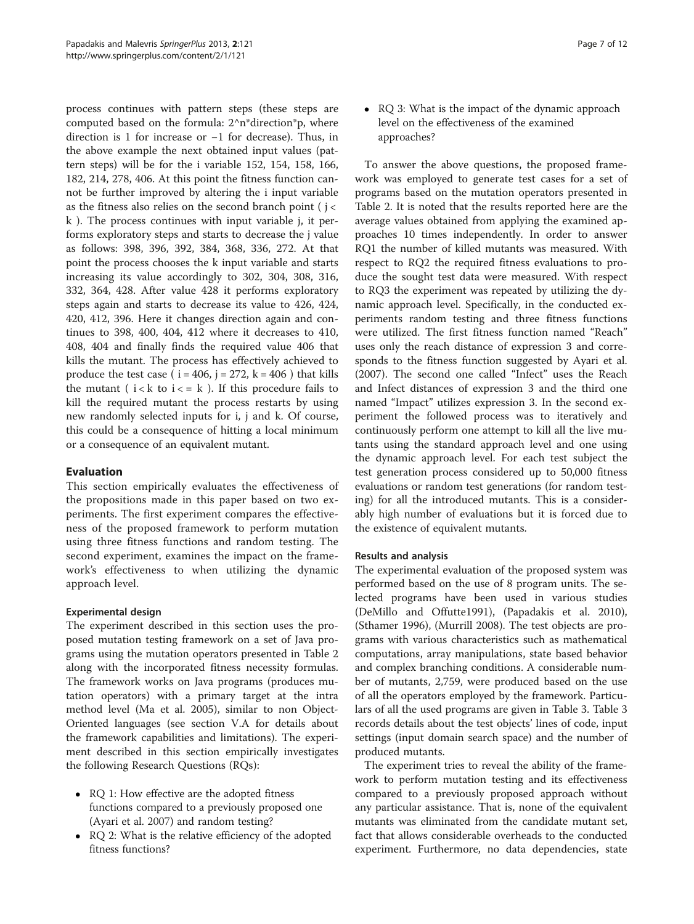process continues with pattern steps (these steps are computed based on the formula: 2^n\*direction\*p, where direction is 1 for increase or −1 for decrease). Thus, in the above example the next obtained input values (pattern steps) will be for the i variable 152, 154, 158, 166, 182, 214, 278, 406. At this point the fitness function cannot be further improved by altering the i input variable as the fitness also relies on the second branch point ( $j <$ k ). The process continues with input variable j, it performs exploratory steps and starts to decrease the j value as follows: 398, 396, 392, 384, 368, 336, 272. At that point the process chooses the k input variable and starts increasing its value accordingly to 302, 304, 308, 316, 332, 364, 428. After value 428 it performs exploratory steps again and starts to decrease its value to 426, 424, 420, 412, 396. Here it changes direction again and continues to 398, 400, 404, 412 where it decreases to 410, 408, 404 and finally finds the required value 406 that kills the mutant. The process has effectively achieved to produce the test case ( $i = 406$ ,  $j = 272$ ,  $k = 406$ ) that kills the mutant ( $i < k$  to  $i < = k$ ). If this procedure fails to kill the required mutant the process restarts by using new randomly selected inputs for i, j and k. Of course, this could be a consequence of hitting a local minimum or a consequence of an equivalent mutant.

# Evaluation

This section empirically evaluates the effectiveness of the propositions made in this paper based on two experiments. The first experiment compares the effectiveness of the proposed framework to perform mutation using three fitness functions and random testing. The second experiment, examines the impact on the framework's effectiveness to when utilizing the dynamic approach level.

# Experimental design

The experiment described in this section uses the proposed mutation testing framework on a set of Java programs using the mutation operators presented in Table [2](#page-4-0) along with the incorporated fitness necessity formulas. The framework works on Java programs (produces mutation operators) with a primary target at the intra method level (Ma et al. [2005](#page-10-0)), similar to non Object-Oriented languages (see section V.A for details about the framework capabilities and limitations). The experiment described in this section empirically investigates the following Research Questions (RQs):

- RQ 1: How effective are the adopted fitness functions compared to a previously proposed one (Ayari et al. [2007\)](#page-10-0) and random testing?
- RQ 2: What is the relative efficiency of the adopted fitness functions?

• RQ 3: What is the impact of the dynamic approach level on the effectiveness of the examined approaches?

To answer the above questions, the proposed framework was employed to generate test cases for a set of programs based on the mutation operators presented in Table [2.](#page-4-0) It is noted that the results reported here are the average values obtained from applying the examined approaches 10 times independently. In order to answer RQ1 the number of killed mutants was measured. With respect to RQ2 the required fitness evaluations to produce the sought test data were measured. With respect to RQ3 the experiment was repeated by utilizing the dynamic approach level. Specifically, in the conducted experiments random testing and three fitness functions were utilized. The first fitness function named "Reach" uses only the reach distance of expression 3 and corresponds to the fitness function suggested by Ayari et al. ([2007\)](#page-10-0). The second one called "Infect" uses the Reach and Infect distances of expression 3 and the third one named "Impact" utilizes expression 3. In the second experiment the followed process was to iteratively and continuously perform one attempt to kill all the live mutants using the standard approach level and one using the dynamic approach level. For each test subject the test generation process considered up to 50,000 fitness evaluations or random test generations (for random testing) for all the introduced mutants. This is a considerably high number of evaluations but it is forced due to the existence of equivalent mutants.

# Results and analysis

The experimental evaluation of the proposed system was performed based on the use of 8 program units. The selected programs have been used in various studies (DeMillo and Offutte[1991\)](#page-10-0), (Papadakis et al. [2010](#page-11-0)), (Sthamer [1996\)](#page-11-0), (Murrill [2008](#page-11-0)). The test objects are programs with various characteristics such as mathematical computations, array manipulations, state based behavior and complex branching conditions. A considerable number of mutants, 2,759, were produced based on the use of all the operators employed by the framework. Particulars of all the used programs are given in Table [3.](#page-7-0) Table [3](#page-7-0) records details about the test objects' lines of code, input settings (input domain search space) and the number of produced mutants.

The experiment tries to reveal the ability of the framework to perform mutation testing and its effectiveness compared to a previously proposed approach without any particular assistance. That is, none of the equivalent mutants was eliminated from the candidate mutant set, fact that allows considerable overheads to the conducted experiment. Furthermore, no data dependencies, state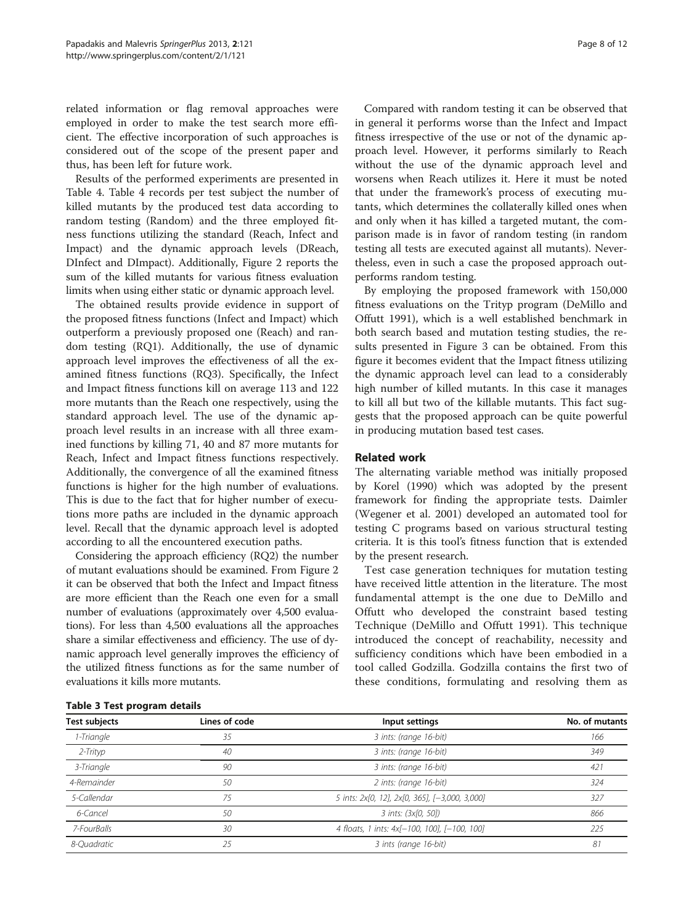<span id="page-7-0"></span>related information or flag removal approaches were employed in order to make the test search more efficient. The effective incorporation of such approaches is considered out of the scope of the present paper and thus, has been left for future work.

Results of the performed experiments are presented in Table [4](#page-8-0). Table [4](#page-8-0) records per test subject the number of killed mutants by the produced test data according to random testing (Random) and the three employed fitness functions utilizing the standard (Reach, Infect and Impact) and the dynamic approach levels (DReach, DInfect and DImpact). Additionally, Figure [2](#page-8-0) reports the sum of the killed mutants for various fitness evaluation limits when using either static or dynamic approach level.

The obtained results provide evidence in support of the proposed fitness functions (Infect and Impact) which outperform a previously proposed one (Reach) and random testing (RQ1). Additionally, the use of dynamic approach level improves the effectiveness of all the examined fitness functions (RQ3). Specifically, the Infect and Impact fitness functions kill on average 113 and 122 more mutants than the Reach one respectively, using the standard approach level. The use of the dynamic approach level results in an increase with all three examined functions by killing 71, 40 and 87 more mutants for Reach, Infect and Impact fitness functions respectively. Additionally, the convergence of all the examined fitness functions is higher for the high number of evaluations. This is due to the fact that for higher number of executions more paths are included in the dynamic approach level. Recall that the dynamic approach level is adopted according to all the encountered execution paths.

Considering the approach efficiency (RQ2) the number of mutant evaluations should be examined. From Figure [2](#page-8-0) it can be observed that both the Infect and Impact fitness are more efficient than the Reach one even for a small number of evaluations (approximately over 4,500 evaluations). For less than 4,500 evaluations all the approaches share a similar effectiveness and efficiency. The use of dynamic approach level generally improves the efficiency of the utilized fitness functions as for the same number of evaluations it kills more mutants.

Compared with random testing it can be observed that in general it performs worse than the Infect and Impact fitness irrespective of the use or not of the dynamic approach level. However, it performs similarly to Reach without the use of the dynamic approach level and worsens when Reach utilizes it. Here it must be noted that under the framework's process of executing mutants, which determines the collaterally killed ones when and only when it has killed a targeted mutant, the comparison made is in favor of random testing (in random testing all tests are executed against all mutants). Nevertheless, even in such a case the proposed approach outperforms random testing.

By employing the proposed framework with 150,000 fitness evaluations on the Trityp program (DeMillo and Offutt [1991\)](#page-10-0), which is a well established benchmark in both search based and mutation testing studies, the results presented in Figure [3](#page-9-0) can be obtained. From this figure it becomes evident that the Impact fitness utilizing the dynamic approach level can lead to a considerably high number of killed mutants. In this case it manages to kill all but two of the killable mutants. This fact suggests that the proposed approach can be quite powerful in producing mutation based test cases.

### Related work

The alternating variable method was initially proposed by Korel ([1990](#page-10-0)) which was adopted by the present framework for finding the appropriate tests. Daimler (Wegener et al. [2001](#page-11-0)) developed an automated tool for testing C programs based on various structural testing criteria. It is this tool's fitness function that is extended by the present research.

Test case generation techniques for mutation testing have received little attention in the literature. The most fundamental attempt is the one due to DeMillo and Offutt who developed the constraint based testing Technique (DeMillo and Offutt [1991\)](#page-10-0). This technique introduced the concept of reachability, necessity and sufficiency conditions which have been embodied in a tool called Godzilla. Godzilla contains the first two of these conditions, formulating and resolving them as

Table 3 Test program details

| Test subjects | Lines of code | Input settings                                 | No. of mutants |  |  |
|---------------|---------------|------------------------------------------------|----------------|--|--|
| 1-Triangle    | 35            | 3 ints: (range 16-bit)                         | 166            |  |  |
| 2-Trityp      | 40            | 3 ints: (range 16-bit)                         | 349            |  |  |
| 3-Triangle    | 90            | 3 ints: (range 16-bit)                         | 421            |  |  |
| 4-Remainder   | 50            | 2 ints: (range 16-bit)                         | 324            |  |  |
| 5-Callendar   | 75            | 5 ints: 2x[0, 12], 2x[0, 365], [-3,000, 3,000] | 327            |  |  |
| 6-Cancel      | 50            | 3 ints: (3x[0, 50])                            | 866            |  |  |
| 7-FourBalls   | 30            | 4 floats, 1 ints: 4x[-100, 100], [-100, 100]   | 225            |  |  |
| 8-Ouadratic   | 25            | 3 ints (range 16-bit)                          | 81             |  |  |
|               |               |                                                |                |  |  |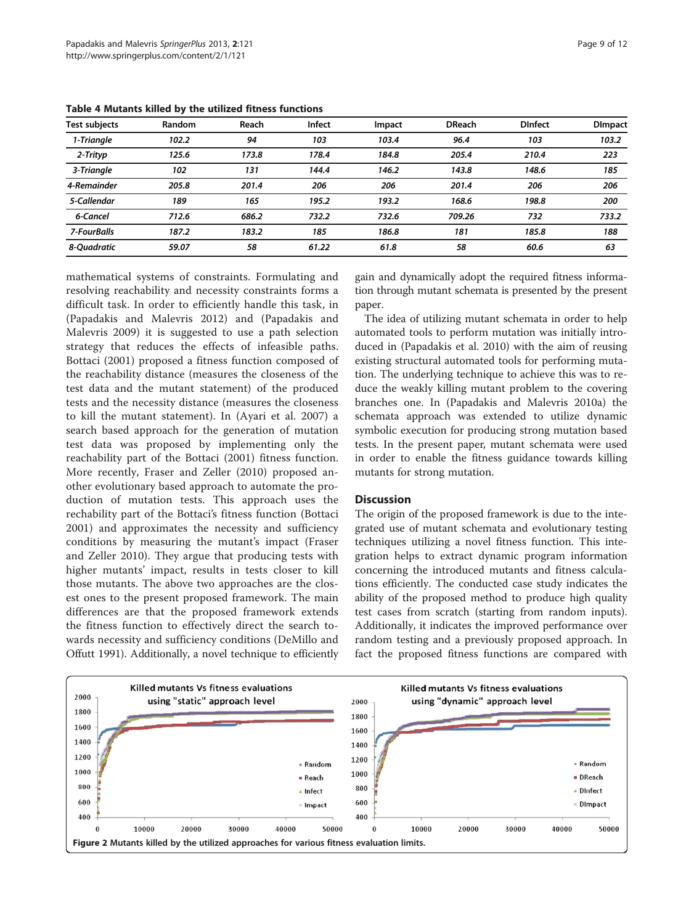| Test subjects | Random | Reach | <b>Infect</b> | <b>Impact</b> | <b>DReach</b> | <b>DInfect</b> | <b>Dimpact</b> |
|---------------|--------|-------|---------------|---------------|---------------|----------------|----------------|
| 1-Triangle    | 102.2  | 94    | 103           | 103.4         | 96.4          | 103            | 103.2          |
| 2-Trityp      | 125.6  | 173.8 | 178.4         | 184.8         | 205.4         | 210.4          | 223            |
| 3-Triangle    | 102    | 131   | 144.4         | 146.2         | 143.8         | 148.6          | 185            |
| 4-Remainder   | 205.8  | 201.4 | 206           | 206           | 201.4         | 206            | 206            |
| 5-Callendar   | 189    | 165   | 195.2         | 193.2         | 168.6         | 198.8          | 200            |
| 6-Cancel      | 712.6  | 686.2 | 732.2         | 732.6         | 709.26        | 732            | 733.2          |
| 7-FourBalls   | 187.2  | 183.2 | 185           | 186.8         | 181           | 185.8          | 188            |
| 8-Ouadratic   | 59.07  | 58    | 61.22         | 61.8          | 58            | 60.6           | 63             |

<span id="page-8-0"></span>Table 4 Mutants killed by the utilized fitness functions

mathematical systems of constraints. Formulating and resolving reachability and necessity constraints forms a difficult task. In order to efficiently handle this task, in (Papadakis and Malevris [2012](#page-11-0)) and (Papadakis and Malevris [2009](#page-11-0)) it is suggested to use a path selection strategy that reduces the effects of infeasible paths. Bottaci ([2001\)](#page-10-0) proposed a fitness function composed of the reachability distance (measures the closeness of the test data and the mutant statement) of the produced tests and the necessity distance (measures the closeness to kill the mutant statement). In (Ayari et al. [2007\)](#page-10-0) a search based approach for the generation of mutation test data was proposed by implementing only the reachability part of the Bottaci ([2001](#page-10-0)) fitness function. More recently, Fraser and Zeller [\(2010](#page-10-0)) proposed another evolutionary based approach to automate the production of mutation tests. This approach uses the rechability part of the Bottaci's fitness function (Bottaci [2001\)](#page-10-0) and approximates the necessity and sufficiency conditions by measuring the mutant's impact (Fraser and Zeller [2010\)](#page-10-0). They argue that producing tests with higher mutants' impact, results in tests closer to kill those mutants. The above two approaches are the closest ones to the present proposed framework. The main differences are that the proposed framework extends the fitness function to effectively direct the search towards necessity and sufficiency conditions (DeMillo and Offutt [1991\)](#page-10-0). Additionally, a novel technique to efficiently gain and dynamically adopt the required fitness information through mutant schemata is presented by the present paper.

The idea of utilizing mutant schemata in order to help automated tools to perform mutation was initially introduced in (Papadakis et al. [2010](#page-11-0)) with the aim of reusing existing structural automated tools for performing mutation. The underlying technique to achieve this was to reduce the weakly killing mutant problem to the covering branches one. In (Papadakis and Malevris [2010a](#page-11-0)) the schemata approach was extended to utilize dynamic symbolic execution for producing strong mutation based tests. In the present paper, mutant schemata were used in order to enable the fitness guidance towards killing mutants for strong mutation.

## **Discussion**

The origin of the proposed framework is due to the integrated use of mutant schemata and evolutionary testing techniques utilizing a novel fitness function. This integration helps to extract dynamic program information concerning the introduced mutants and fitness calculations efficiently. The conducted case study indicates the ability of the proposed method to produce high quality test cases from scratch (starting from random inputs). Additionally, it indicates the improved performance over random testing and a previously proposed approach. In fact the proposed fitness functions are compared with

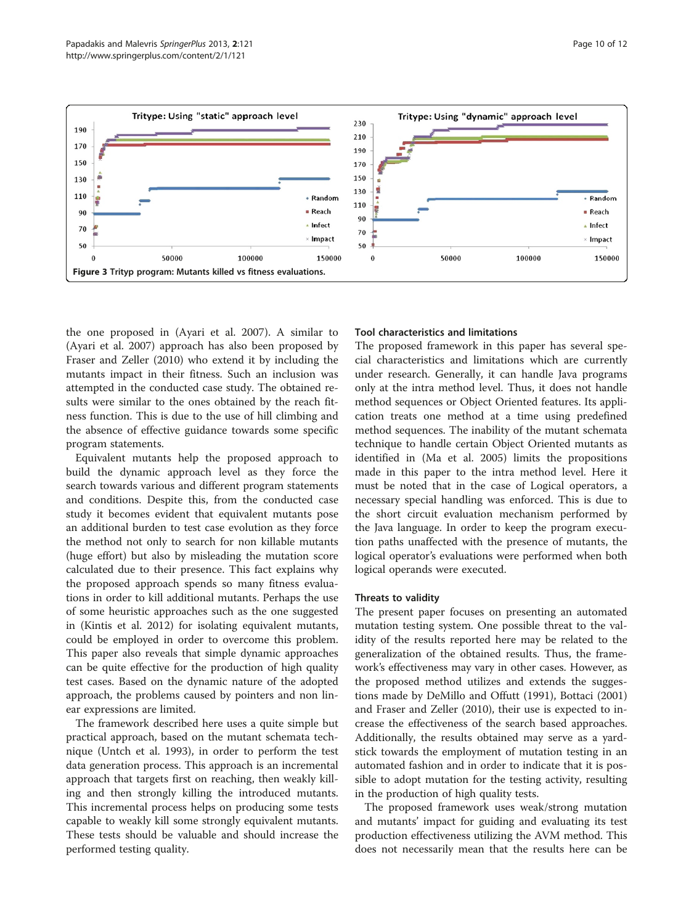<span id="page-9-0"></span>

the one proposed in (Ayari et al. [2007](#page-10-0)). A similar to (Ayari et al. [2007\)](#page-10-0) approach has also been proposed by Fraser and Zeller ([2010](#page-10-0)) who extend it by including the mutants impact in their fitness. Such an inclusion was attempted in the conducted case study. The obtained results were similar to the ones obtained by the reach fitness function. This is due to the use of hill climbing and the absence of effective guidance towards some specific program statements.

Equivalent mutants help the proposed approach to build the dynamic approach level as they force the search towards various and different program statements and conditions. Despite this, from the conducted case study it becomes evident that equivalent mutants pose an additional burden to test case evolution as they force the method not only to search for non killable mutants (huge effort) but also by misleading the mutation score calculated due to their presence. This fact explains why the proposed approach spends so many fitness evaluations in order to kill additional mutants. Perhaps the use of some heuristic approaches such as the one suggested in (Kintis et al. [2012\)](#page-10-0) for isolating equivalent mutants, could be employed in order to overcome this problem. This paper also reveals that simple dynamic approaches can be quite effective for the production of high quality test cases. Based on the dynamic nature of the adopted approach, the problems caused by pointers and non linear expressions are limited.

The framework described here uses a quite simple but practical approach, based on the mutant schemata technique (Untch et al. [1993](#page-11-0)), in order to perform the test data generation process. This approach is an incremental approach that targets first on reaching, then weakly killing and then strongly killing the introduced mutants. This incremental process helps on producing some tests capable to weakly kill some strongly equivalent mutants. These tests should be valuable and should increase the performed testing quality.

## Tool characteristics and limitations

The proposed framework in this paper has several special characteristics and limitations which are currently under research. Generally, it can handle Java programs only at the intra method level. Thus, it does not handle method sequences or Object Oriented features. Its application treats one method at a time using predefined method sequences. The inability of the mutant schemata technique to handle certain Object Oriented mutants as identified in (Ma et al. [2005](#page-10-0)) limits the propositions made in this paper to the intra method level. Here it must be noted that in the case of Logical operators, a necessary special handling was enforced. This is due to the short circuit evaluation mechanism performed by the Java language. In order to keep the program execution paths unaffected with the presence of mutants, the logical operator's evaluations were performed when both logical operands were executed.

#### Threats to validity

The present paper focuses on presenting an automated mutation testing system. One possible threat to the validity of the results reported here may be related to the generalization of the obtained results. Thus, the framework's effectiveness may vary in other cases. However, as the proposed method utilizes and extends the suggestions made by DeMillo and Offutt ([1991](#page-10-0)), Bottaci ([2001](#page-10-0)) and Fraser and Zeller ([2010](#page-10-0)), their use is expected to increase the effectiveness of the search based approaches. Additionally, the results obtained may serve as a yardstick towards the employment of mutation testing in an automated fashion and in order to indicate that it is possible to adopt mutation for the testing activity, resulting in the production of high quality tests.

The proposed framework uses weak/strong mutation and mutants' impact for guiding and evaluating its test production effectiveness utilizing the AVM method. This does not necessarily mean that the results here can be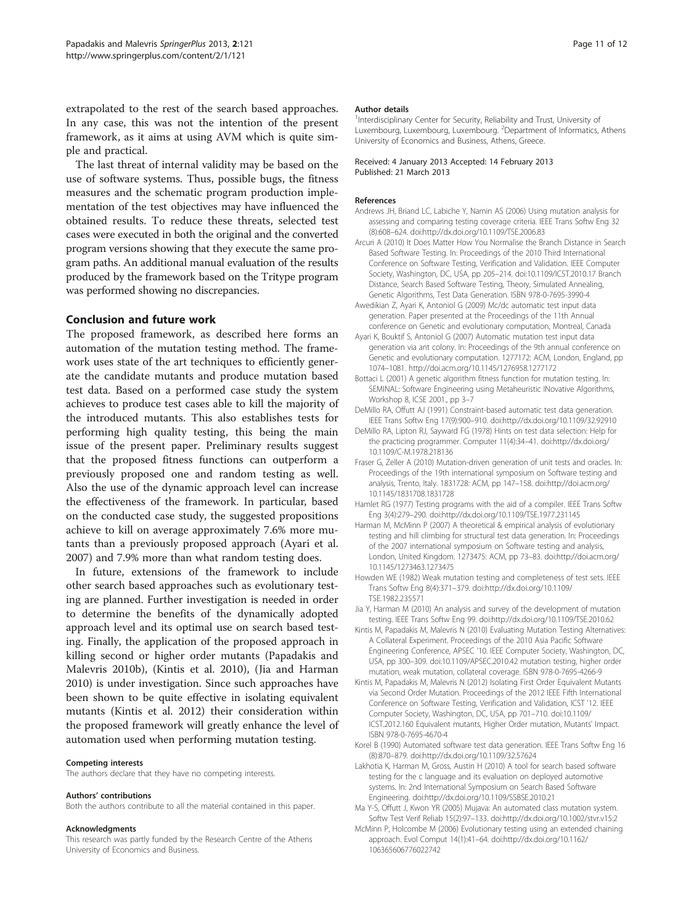<span id="page-10-0"></span>extrapolated to the rest of the search based approaches. In any case, this was not the intention of the present framework, as it aims at using AVM which is quite simple and practical.

The last threat of internal validity may be based on the use of software systems. Thus, possible bugs, the fitness measures and the schematic program production implementation of the test objectives may have influenced the obtained results. To reduce these threats, selected test cases were executed in both the original and the converted program versions showing that they execute the same program paths. An additional manual evaluation of the results produced by the framework based on the Tritype program was performed showing no discrepancies.

### Conclusion and future work

The proposed framework, as described here forms an automation of the mutation testing method. The framework uses state of the art techniques to efficiently generate the candidate mutants and produce mutation based test data. Based on a performed case study the system achieves to produce test cases able to kill the majority of the introduced mutants. This also establishes tests for performing high quality testing, this being the main issue of the present paper. Preliminary results suggest that the proposed fitness functions can outperform a previously proposed one and random testing as well. Also the use of the dynamic approach level can increase the effectiveness of the framework. In particular, based on the conducted case study, the suggested propositions achieve to kill on average approximately 7.6% more mutants than a previously proposed approach (Ayari et al. 2007) and 7.9% more than what random testing does.

In future, extensions of the framework to include other search based approaches such as evolutionary testing are planned. Further investigation is needed in order to determine the benefits of the dynamically adopted approach level and its optimal use on search based testing. Finally, the application of the proposed approach in killing second or higher order mutants (Papadakis and Malevris [2010b](#page-11-0)), (Kintis et al. 2010), (Jia and Harman 2010) is under investigation. Since such approaches have been shown to be quite effective in isolating equivalent mutants (Kintis et al. 2012) their consideration within the proposed framework will greatly enhance the level of automation used when performing mutation testing.

#### Competing interests

The authors declare that they have no competing interests.

#### Authors' contributions

Both the authors contribute to all the material contained in this paper.

#### Acknowledgments

This research was partly funded by the Research Centre of the Athens University of Economics and Business.

#### Author details

<sup>1</sup>Interdisciplinary Center for Security, Reliability and Trust, University of Luxembourg, Luxembourg, Luxembourg. <sup>2</sup>Department of Informatics, Athens University of Economics and Business, Athens, Greece.

#### Received: 4 January 2013 Accepted: 14 February 2013 Published: 21 March 2013

#### References

- Andrews JH, Briand LC, Labiche Y, Namin AS (2006) Using mutation analysis for assessing and comparing testing coverage criteria. IEEE Trans Softw Eng 32 (8):608–624. doi:<http://dx.doi.org/10.1109/TSE.2006.83>
- Arcuri A (2010) It Does Matter How You Normalise the Branch Distance in Search Based Software Testing. In: Proceedings of the 2010 Third International Conference on Software Testing, Verification and Validation. IEEE Computer Society, Washington, DC, USA, pp 205–214. doi:[10.1109/ICST.2010.17](http://dx.doi.org/10.1109/ICST.2010.17) Branch Distance, Search Based Software Testing, Theory, Simulated Annealing, Genetic Algorithms, Test Data Generation. ISBN 978-0-7695-3990-4
- Awedikian Z, Ayari K, Antoniol G (2009) Mc/dc automatic test input data generation. Paper presented at the Proceedings of the 11th Annual conference on Genetic and evolutionary computation, Montreal, Canada
- Ayari K, Bouktif S, Antoniol G (2007) Automatic mutation test input data generation via ant colony. In: Proceedings of the 9th annual conference on Genetic and evolutionary computation. 1277172: ACM, London, England, pp 1074–1081.<http://doi.acm.org/10.1145/1276958.1277172>
- Bottaci L (2001) A genetic algorithm fitness function for mutation testing. In: SEMINAL: Software Engineering using Metaheuristic INovative Algorithms, Workshop 8, ICSE 2001., pp 3–7
- DeMillo RA, Offutt AJ (1991) Constraint-based automatic test data generation. IEEE Trans Softw Eng 17(9):900–910. doi[:http://dx.doi.org/10.1109/32.92910](http://dx.doi.org/10.1109/32.92910)
- DeMillo RA, Lipton RJ, Sayward FG (1978) Hints on test data selection: Help for the practicing programmer. Computer 11(4):34–41. doi:[http://dx.doi.org/](http://dx.doi.org/10.1109/C-M.1978.218136) [10.1109/C-M.1978.218136](http://dx.doi.org/10.1109/C-M.1978.218136)
- Fraser G, Zeller A (2010) Mutation-driven generation of unit tests and oracles. In: Proceedings of the 19th international symposium on Software testing and analysis, Trento, Italy. 1831728: ACM, pp 147–158. doi:[http://doi.acm.org/](http://doi.acm.org/10.1145/1831708.1831728) [10.1145/1831708.1831728](http://doi.acm.org/10.1145/1831708.1831728)
- Hamlet RG (1977) Testing programs with the aid of a compiler. IEEE Trans Softw Eng 3(4):279–290. doi[:http://dx.doi.org/10.1109/TSE.1977.231145](http://dx.doi.org/10.1109/TSE.1977.231145)
- Harman M, McMinn P (2007) A theoretical & empirical analysis of evolutionary testing and hill climbing for structural test data generation. In: Proceedings of the 2007 international symposium on Software testing and analysis, London, United Kingdom. 1273475: ACM, pp 73–83. doi:[http://doi.acm.org/](http://doi.acm.org/10.1145/1273463.1273475) [10.1145/1273463.1273475](http://doi.acm.org/10.1145/1273463.1273475)
- Howden WE (1982) Weak mutation testing and completeness of test sets. IEEE Trans Softw Eng 8(4):371–379. doi[:http://dx.doi.org/10.1109/](http://dx.doi.org/10.1109/TSE.1982.235571) [TSE.1982.235571](http://dx.doi.org/10.1109/TSE.1982.235571)
- Jia Y, Harman M (2010) An analysis and survey of the development of mutation testing. IEEE Trans Softw Eng 99. doi:<http://dx.doi.org/10.1109/TSE.2010.62>
- Kintis M, Papadakis M, Malevris N (2010) Evaluating Mutation Testing Alternatives: A Collateral Experiment. Proceedings of the 2010 Asia Pacific Software Engineering Conference, APSEC '10. IEEE Computer Society, Washington, DC, USA, pp 300–309. doi[:10.1109/APSEC.2010.42](http://dx.doi.org/10.1109/APSEC.2010.42) mutation testing, higher order mutation, weak mutation, collateral coverage. ISBN 978-0-7695-4266-9
- Kintis M, Papadakis M, Malevris N (2012) Isolating First Order Equivalent Mutants via Second Order Mutation. Proceedings of the 2012 IEEE Fifth International Conference on Software Testing, Verification and Validation, ICST '12. IEEE Computer Society, Washington, DC, USA, pp 701–710. doi[:10.1109/](http://dx.doi.org/10.1109/ICST.2012.160) [ICST.2012.160](http://dx.doi.org/10.1109/ICST.2012.160) Equivalent mutants, Higher Order mutation, Mutants' Impact. ISBN 978-0-7695-4670-4
- Korel B (1990) Automated software test data generation. IEEE Trans Softw Eng 16 (8):870–879. doi:<http://dx.doi.org/10.1109/32.57624>
- Lakhotia K, Harman M, Gross, Austin H (2010) A tool for search based software testing for the c language and its evaluation on deployed automotive systems. In: 2nd International Symposium on Search Based Software Engineering. doi:<http://dx.doi.org/10.1109/SSBSE.2010.21>
- Ma Y-S, Offutt J, Kwon YR (2005) Mujava: An automated class mutation system. Softw Test Verif Reliab 15(2):97–133. doi:<http://dx.doi.org/10.1002/stvr.v15:2>
- McMinn P, Holcombe M (2006) Evolutionary testing using an extended chaining approach. Evol Comput 14(1):41–64. doi[:http://dx.doi.org/10.1162/](http://dx.doi.org/10.1162/106365606776022742) [106365606776022742](http://dx.doi.org/10.1162/106365606776022742)